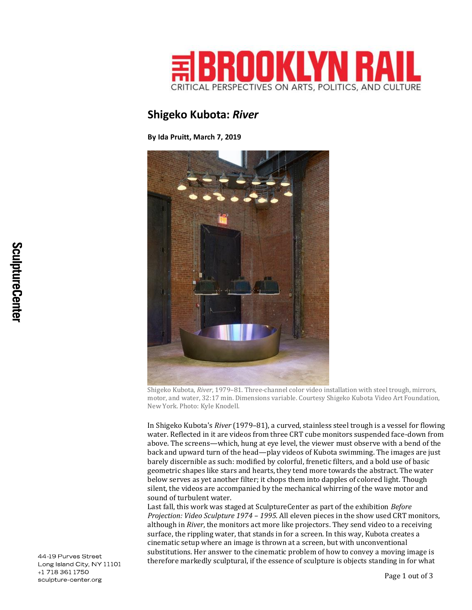

## **Shigeko Kubota:** *River*

**By Ida Pruitt, March 7, 2019**



Shigeko Kubota, *River*, 1979–81. Three-channel color video installation with steel trough, mirrors, motor, and water, 32:17 min. Dimensions variable. Courtesy Shigeko Kubota Video Art Foundation, New York. Photo: Kyle Knodell.

In Shigeko Kubota's *River* (1979–81), a curved, stainless steel trough is a vessel for flowing water. Reflected in it are videos from three CRT cube monitors suspended face-down from above. The screens—which, hung at eye level, the viewer must observe with a bend of the back and upward turn of the head—play videos of Kubota swimming. The images are just barely discernible as such: modified by colorful, frenetic filters, and a bold use of basic geometric shapes like stars and hearts, they tend more towards the abstract. The water below serves as yet another filter; it chops them into dapples of colored light. Though silent, the videos are accompanied by the mechanical whirring of the wave motor and sound of turbulent water.

Last fall, this work was staged at SculptureCenter as part of the exhibition *Before Projection: Video Sculpture 1974 – 1995.* All eleven pieces in the show used CRT monitors, although in *River*, the monitors act more like projectors. They send video to a receiving surface, the rippling water, that stands in for a screen. In this way, Kubota creates a cinematic setup where an image is thrown at a screen, but with unconventional substitutions. Her answer to the cinematic problem of how to convey a moving image is therefore markedly sculptural, if the essence of sculpture is objects standing in for what

44-19 Purves Street Long Island City, NY 11101 +1 718 361 1750 sculpture-center.org

Page 1 out of 3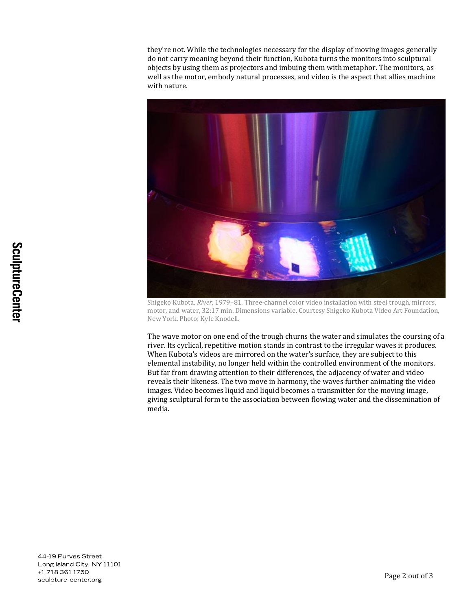they're not. While the technologies necessary for the display of moving images generally do not carry meaning beyond their function, Kubota turns the monitors into sculptural objects by using them as projectors and imbuing them with metaphor. The monitors, as well as the motor, embody natural processes, and video is the aspect that allies machine with nature.



Shigeko Kubota, *River*, 1979–81. Three-channel color video installation with steel trough, mirrors, motor, and water, 32:17 min. Dimensions variable. Courtesy Shigeko Kubota Video Art Foundation, New York. Photo: Kyle Knodell.

The wave motor on one end of the trough churns the water and simulates the coursing of a river. Its cyclical, repetitive motion stands in contrast to the irregular waves it produces. When Kubota's videos are mirrored on the water's surface, they are subject to this elemental instability, no longer held within the controlled environment of the monitors. But far from drawing attention to their differences, the adjacency of water and video reveals their likeness. The two move in harmony, the waves further animating the video images. Video becomes liquid and liquid becomes a transmitter for the moving image, giving sculptural form to the association between flowing water and the dissemination of media.

44-19 Purves Street Long Island City, NY 11101 +1 718 361 1750 sculpture-center.org